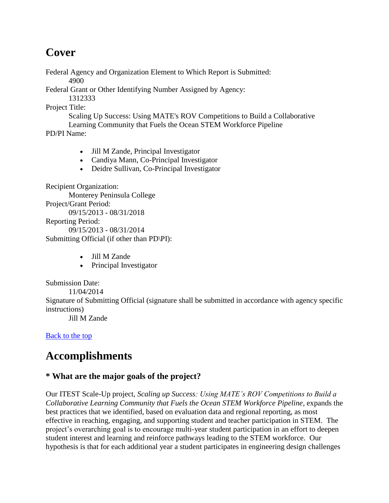# **Cover**

Federal Agency and Organization Element to Which Report is Submitted:

4900

Federal Grant or Other Identifying Number Assigned by Agency:

1312333

Project Title:

Scaling Up Success: Using MATE's ROV Competitions to Build a Collaborative Learning Community that Fuels the Ocean STEM Workforce Pipeline

PD/PI Name:

- Jill M Zande, Principal Investigator
- Candiya Mann, Co-Principal Investigator
- Deidre Sullivan, Co-Principal Investigator

Recipient Organization: Monterey Peninsula College Project/Grant Period: 09/15/2013 - 08/31/2018

Reporting Period:

09/15/2013 - 08/31/2014

Submitting Official (if other than PD\PI):

- Jill M Zande
- Principal Investigator

Submission Date:

11/04/2014

Signature of Submitting Official (signature shall be submitted in accordance with agency specific instructions)

Jill M Zande

[Back to the top](https://reporting.research.gov/rppr-web/rppr?execution=e1s16#top)

# **Accomplishments**

# **\* What are the major goals of the project?**

Our ITEST Scale-Up project, *Scaling up Success: Using MATE's ROV Competitions to Build a Collaborative Learning Community that Fuels the Ocean STEM Workforce Pipeline*, expands the best practices that we identified, based on evaluation data and regional reporting, as most effective in reaching, engaging, and supporting student and teacher participation in STEM. The project's overarching goal is to encourage multi-year student participation in an effort to deepen student interest and learning and reinforce pathways leading to the STEM workforce. Our hypothesis is that for each additional year a student participates in engineering design challenges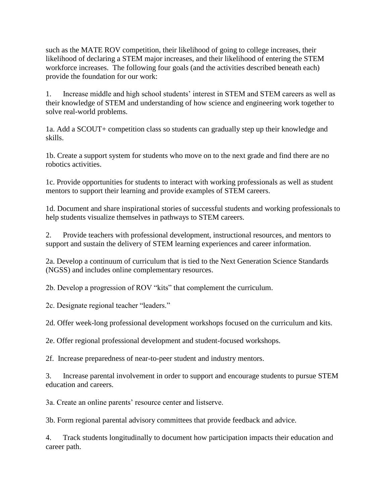such as the MATE ROV competition, their likelihood of going to college increases, their likelihood of declaring a STEM major increases, and their likelihood of entering the STEM workforce increases. The following four goals (and the activities described beneath each) provide the foundation for our work:

1. Increase middle and high school students' interest in STEM and STEM careers as well as their knowledge of STEM and understanding of how science and engineering work together to solve real-world problems.

1a. Add a SCOUT+ competition class so students can gradually step up their knowledge and skills.

1b. Create a support system for students who move on to the next grade and find there are no robotics activities.

1c. Provide opportunities for students to interact with working professionals as well as student mentors to support their learning and provide examples of STEM careers.

1d. Document and share inspirational stories of successful students and working professionals to help students visualize themselves in pathways to STEM careers.

2. Provide teachers with professional development, instructional resources, and mentors to support and sustain the delivery of STEM learning experiences and career information.

2a. Develop a continuum of curriculum that is tied to the Next Generation Science Standards (NGSS) and includes online complementary resources.

2b. Develop a progression of ROV "kits" that complement the curriculum.

2c. Designate regional teacher "leaders."

2d. Offer week-long professional development workshops focused on the curriculum and kits.

2e. Offer regional professional development and student-focused workshops.

2f. Increase preparedness of near-to-peer student and industry mentors.

3. Increase parental involvement in order to support and encourage students to pursue STEM education and careers.

3a. Create an online parents' resource center and listserve.

3b. Form regional parental advisory committees that provide feedback and advice.

4. Track students longitudinally to document how participation impacts their education and career path.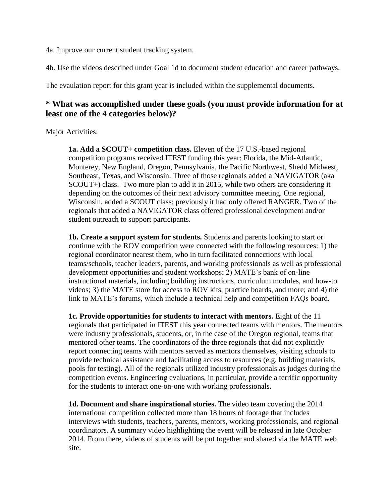4a. Improve our current student tracking system.

4b. Use the videos described under Goal 1d to document student education and career pathways.

The evaulation report for this grant year is included within the supplemental documents.

### **\* What was accomplished under these goals (you must provide information for at least one of the 4 categories below)?**

#### Major Activities:

**1a. Add a SCOUT+ competition class.** Eleven of the 17 U.S.-based regional competition programs received ITEST funding this year: Florida, the Mid-Atlantic, Monterey, New England, Oregon, Pennsylvania, the Pacific Northwest, Shedd Midwest, Southeast, Texas, and Wisconsin. Three of those regionals added a NAVIGATOR (aka SCOUT+) class. Two more plan to add it in 2015, while two others are considering it depending on the outcomes of their next advisory committee meeting. One regional, Wisconsin, added a SCOUT class; previously it had only offered RANGER. Two of the regionals that added a NAVIGATOR class offered professional development and/or student outreach to support participants.

**1b. Create a support system for students.** Students and parents looking to start or continue with the ROV competition were connected with the following resources: 1) the regional coordinator nearest them, who in turn facilitated connections with local teams/schools, teacher leaders, parents, and working professionals as well as professional development opportunities and student workshops; 2) MATE's bank of on-line instructional materials, including building instructions, curriculum modules, and how-to videos; 3) the MATE store for access to ROV kits, practice boards, and more; and 4) the link to MATE's forums, which include a technical help and competition FAQs board.

**1c. Provide opportunities for students to interact with mentors.** Eight of the 11 regionals that participated in ITEST this year connected teams with mentors. The mentors were industry professionals, students, or, in the case of the Oregon regional, teams that mentored other teams. The coordinators of the three regionals that did not explicitly report connecting teams with mentors served as mentors themselves, visiting schools to provide technical assistance and facilitating access to resources (e.g. building materials, pools for testing). All of the regionals utilized industry professionals as judges during the competition events. Engineering evaluations, in particular, provide a terrific opportunity for the students to interact one-on-one with working professionals.

**1d. Document and share inspirational stories.** The video team covering the 2014 international competition collected more than 18 hours of footage that includes interviews with students, teachers, parents, mentors, working professionals, and regional coordinators. A summary video highlighting the event will be released in late October 2014. From there, videos of students will be put together and shared via the MATE web site.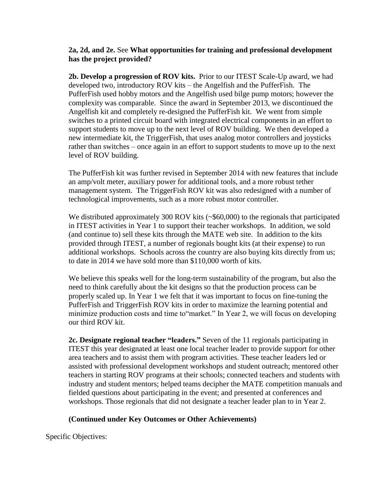#### **2a, 2d, and 2e.** See **What opportunities for training and professional development has the project provided?**

**2b. Develop a progression of ROV kits.** Prior to our ITEST Scale-Up award, we had developed two, introductory ROV kits – the Angelfish and the PufferFish. The PufferFish used hobby motors and the Angelfish used bilge pump motors; however the complexity was comparable. Since the award in September 2013, we discontinued the Angelfish kit and completely re-designed the PufferFish kit. We went from simple switches to a printed circuit board with integrated electrical components in an effort to support students to move up to the next level of ROV building. We then developed a new intermediate kit, the TriggerFish, that uses analog motor controllers and joysticks rather than switches – once again in an effort to support students to move up to the next level of ROV building.

The PufferFish kit was further revised in September 2014 with new features that include an amp/volt meter, auxiliary power for additional tools, and a more robust tether management system. The TriggerFish ROV kit was also redesigned with a number of technological improvements, such as a more robust motor controller.

We distributed approximately 300 ROV kits (~\$60,000) to the regionals that participated in ITEST activities in Year 1 to support their teacher workshops. In addition, we sold (and continue to) sell these kits through the MATE web site. In addition to the kits provided through ITEST, a number of regionals bought kits (at their expense) to run additional workshops. Schools across the country are also buying kits directly from us; to date in 2014 we have sold more than \$110,000 worth of kits.

We believe this speaks well for the long-term sustainability of the program, but also the need to think carefully about the kit designs so that the production process can be properly scaled up. In Year 1 we felt that it was important to focus on fine-tuning the PufferFish and TriggerFish ROV kits in order to maximize the learning potential and minimize production costs and time to"market." In Year 2, we will focus on developing our third ROV kit.

**2c. Designate regional teacher "leaders."** Seven of the 11 regionals participating in ITEST this year designated at least one local teacher leader to provide support for other area teachers and to assist them with program activities. These teacher leaders led or assisted with professional development workshops and student outreach; mentored other teachers in starting ROV programs at their schools; connected teachers and students with industry and student mentors; helped teams decipher the MATE competition manuals and fielded questions about participating in the event; and presented at conferences and workshops. Those regionals that did not designate a teacher leader plan to in Year 2.

#### **(Continued under Key Outcomes or Other Achievements)**

Specific Objectives: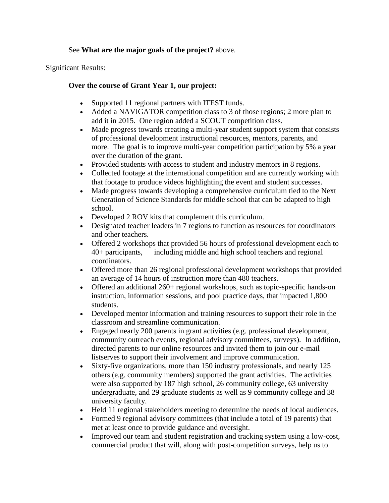#### See **What are the major goals of the project?** above.

Significant Results:

#### **Over the course of Grant Year 1, our project:**

- Supported 11 regional partners with ITEST funds.
- Added a NAVIGATOR competition class to 3 of those regions; 2 more plan to add it in 2015. One region added a SCOUT competition class.
- Made progress towards creating a multi-year student support system that consists of professional development instructional resources, mentors, parents, and more. The goal is to improve multi-year competition participation by 5% a year over the duration of the grant.
- Provided students with access to student and industry mentors in 8 regions.
- Collected footage at the international competition and are currently working with that footage to produce videos highlighting the event and student successes.
- Made progress towards developing a comprehensive curriculum tied to the Next Generation of Science Standards for middle school that can be adapted to high school.
- Developed 2 ROV kits that complement this curriculum.
- Designated teacher leaders in 7 regions to function as resources for coordinators and other teachers.
- Offered 2 workshops that provided 56 hours of professional development each to 40+ participants, including middle and high school teachers and regional coordinators.
- Offered more than 26 regional professional development workshops that provided an average of 14 hours of instruction more than 480 teachers.
- Offered an additional 260+ regional workshops, such as topic-specific hands-on instruction, information sessions, and pool practice days, that impacted 1,800 students.
- Developed mentor information and training resources to support their role in the classroom and streamline communication.
- Engaged nearly 200 parents in grant activities (e.g. professional development, community outreach events, regional advisory committees, surveys). In addition, directed parents to our online resources and invited them to join our e-mail listserves to support their involvement and improve communication.
- Sixty-five organizations, more than 150 industry professionals, and nearly 125 others (e.g. community members) supported the grant activities. The activities were also supported by 187 high school, 26 community college, 63 university undergraduate, and 29 graduate students as well as 9 community college and 38 university faculty.
- Held 11 regional stakeholders meeting to determine the needs of local audiences.
- Formed 9 regional advisory committees (that include a total of 19 parents) that met at least once to provide guidance and oversight.
- Improved our team and student registration and tracking system using a low-cost, commercial product that will, along with post-competition surveys, help us to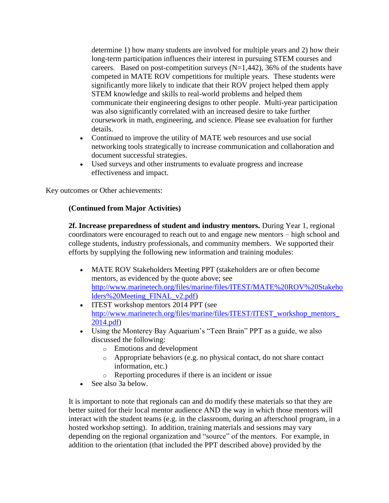determine 1) how many students are involved for multiple years and 2) how their long-term participation influences their interest in pursuing STEM courses and careers. Based on post-competition surveys  $(N=1,442)$ , 36% of the students have competed in MATE ROV competitions for multiple years. These students were significantly more likely to indicate that their ROV project helped them apply STEM knowledge and skills to real-world problems and helped them communicate their engineering designs to other people. Multi-year participation was also significantly correlated with an increased desire to take further coursework in math, engineering, and science. Please see evaluation for further details.

- Continued to improve the utility of MATE web resources and use social networking tools strategically to increase communication and collaboration and document successful strategies.
- Used surveys and other instruments to evaluate progress and increase effectiveness and impact.

Key outcomes or Other achievements:

#### **(Continued from Major Activities)**

**2f. Increase preparedness of student and industry mentors.** During Year 1, regional coordinators were encouraged to reach out to and engage new mentors – high school and college students, industry professionals, and community members. We supported their efforts by supplying the following new information and training modules:

- MATE ROV Stakeholders Meeting PPT (stakeholders are or often become mentors, as evidenced by the quote above; see [http://www.marinetech.org/files/marine/files/ITEST/MATE%20ROV%20Stakeho](http://www.marinetech.org/files/marine/files/ITEST/MATE%20ROV%20Stakeholders%20Meeting_FINAL_v2.pdf) [lders%20Meeting\\_FINAL\\_v2.pdf\)](http://www.marinetech.org/files/marine/files/ITEST/MATE%20ROV%20Stakeholders%20Meeting_FINAL_v2.pdf)
- ITEST workshop mentors 2014 PPT (see http://www.marinetech.org/files/marine/files/ITEST/ITEST\_workshop\_mentors [2014.pdf\)](http://www.marinetech.org/files/marine/files/ITEST/ITEST_workshop_mentors_2014.pdf)
- Using the Monterey Bay Aquarium's "Teen Brain" PPT as a guide, we also discussed the following:
	- o Emotions and development
	- o Appropriate behaviors (e.g. no physical contact, do not share contact information, etc.)
	- o Reporting procedures if there is an incident or issue
- See also 3a below.

It is important to note that regionals can and do modify these materials so that they are better suited for their local mentor audience AND the way in which those mentors will interact with the student teams (e.g. in the classroom, during an afterschool program, in a hosted workshop setting). In addition, training materials and sessions may vary depending on the regional organization and "source" of the mentors. For example, in addition to the orientation (that included the PPT described above) provided by the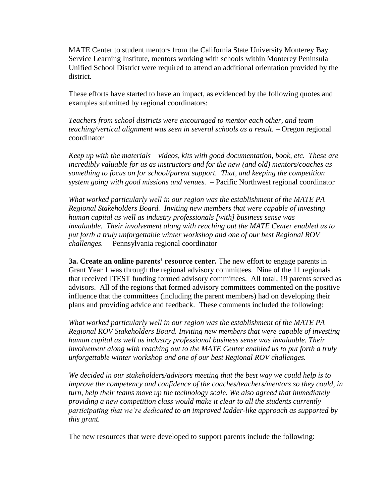MATE Center to student mentors from the California State University Monterey Bay Service Learning Institute, mentors working with schools within Monterey Peninsula Unified School District were required to attend an additional orientation provided by the district.

These efforts have started to have an impact, as evidenced by the following quotes and examples submitted by regional coordinators:

*Teachers from school districts were encouraged to mentor each other, and team teaching/vertical alignment was seen in several schools as a result.* – Oregon regional coordinator

*Keep up with the materials – videos, kits with good documentation, book, etc. These are incredibly valuable for us as instructors and for the new (and old) mentors/coaches as something to focus on for school/parent support. That, and keeping the competition system going with good missions and venues.* – Pacific Northwest regional coordinator

*What worked particularly well in our region was the establishment of the MATE PA Regional Stakeholders Board. Inviting new members that were capable of investing human capital as well as industry professionals [with] business sense was invaluable. Their involvement along with reaching out the MATE Center enabled us to put forth a truly unforgettable winter workshop and one of our best Regional ROV challenges.* – Pennsylvania regional coordinator

**3a. Create an online parents' resource center.** The new effort to engage parents in Grant Year 1 was through the regional advisory committees. Nine of the 11 regionals that received ITEST funding formed advisory committees. All total, 19 parents served as advisors. All of the regions that formed advisory committees commented on the positive influence that the committees (including the parent members) had on developing their plans and providing advice and feedback. These comments included the following:

*What worked particularly well in our region was the establishment of the MATE PA Regional ROV Stakeholders Board. Inviting new members that were capable of investing human capital as well as industry professional business sense was invaluable. Their involvement along with reaching out to the MATE Center enabled us to put forth a truly unforgettable winter workshop and one of our best Regional ROV challenges.* 

*We decided in our stakeholders/advisors meeting that the best way we could help is to improve the competency and confidence of the coaches/teachers/mentors so they could, in turn, help their teams move up the technology scale. We also agreed that immediately providing a new competition class would make it clear to all the students currently participating that we're dedicated to an improved ladder-like approach as supported by this grant.*

The new resources that were developed to support parents include the following: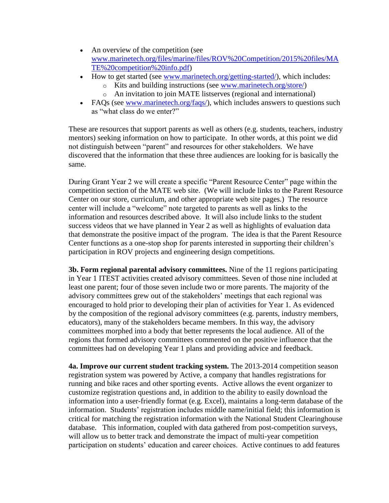- An overview of the competition (see [www.marinetech.org/files/marine/files/ROV%20Competition/2015%20files/MA](http://www.marinetech.org/files/marine/files/ROV%20Competition/2015%20files/MATE%20competition%20info.pdf) [TE%20competition%20info.pdf\)](http://www.marinetech.org/files/marine/files/ROV%20Competition/2015%20files/MATE%20competition%20info.pdf)
- How to get started (see [www.marinetech.org/getting-started/\)](http://www.marinetech.org/getting-started/), which includes:
	- o Kits and building instructions (see [www.marinetech.org/store/\)](http://www.marinetech.org/store/)
	- An invitation to join MATE listserves (regional and international)
- FAQs (see [www.marinetech.org/faqs/\)](http://www.marinetech.org/faqs/), which includes answers to questions such as "what class do we enter?"

These are resources that support parents as well as others (e.g. students, teachers, industry mentors) seeking information on how to participate. In other words, at this point we did not distinguish between "parent" and resources for other stakeholders. We have discovered that the information that these three audiences are looking for is basically the same.

During Grant Year 2 we will create a specific "Parent Resource Center" page within the competition section of the MATE web site. (We will include links to the Parent Resource Center on our store, curriculum, and other appropriate web site pages.) The resource center will include a "welcome" note targeted to parents as well as links to the information and resources described above. It will also include links to the student success videos that we have planned in Year 2 as well as highlights of evaluation data that demonstrate the positive impact of the program. The idea is that the Parent Resource Center functions as a one-stop shop for parents interested in supporting their children's participation in ROV projects and engineering design competitions.

**3b. Form regional parental advisory committees.** Nine of the 11 regions participating in Year 1 ITEST activities created advisory committees. Seven of those nine included at least one parent; four of those seven include two or more parents. The majority of the advisory committees grew out of the stakeholders' meetings that each regional was encouraged to hold prior to developing their plan of activities for Year 1. As evidenced by the composition of the regional advisory committees (e.g. parents, industry members, educators), many of the stakeholders became members. In this way, the advisory committees morphed into a body that better represents the local audience. All of the regions that formed advisory committees commented on the positive influence that the committees had on developing Year 1 plans and providing advice and feedback.

**4a. Improve our current student tracking system.** The 2013-2014 competition season registration system was powered by Active, a company that handles registrations for running and bike races and other sporting events. Active allows the event organizer to customize registration questions and, in addition to the ability to easily download the information into a user-friendly format (e.g. Excel), maintains a long-term database of the information. Students' registration includes middle name/initial field; this information is critical for matching the registration information with the National Student Clearinghouse database. This information, coupled with data gathered from post-competition surveys, will allow us to better track and demonstrate the impact of multi-year competition participation on students' education and career choices. Active continues to add features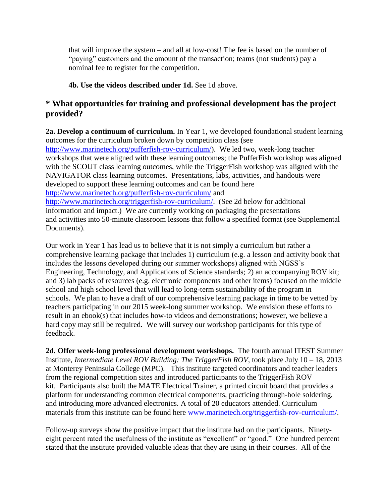that will improve the system – and all at low-cost! The fee is based on the number of "paying" customers and the amount of the transaction; teams (not students) pay a nominal fee to register for the competition.

#### **4b. Use the videos described under 1d.** See 1d above.

## **\* What opportunities for training and professional development has the project provided?**

**2a. Develop a continuum of curriculum.** In Year 1, we developed foundational student learning outcomes for the curriculum broken down by competition class (see [http://www.marinetech.org/pufferfish-rov-curriculum/\)](http://www.marinetech.org/pufferfish-rov-curriculum/). We led two, week-long teacher workshops that were aligned with these learning outcomes; the PufferFish workshop was aligned with the SCOUT class learning outcomes, while the TriggerFish workshop was aligned with the NAVIGATOR class learning outcomes. Presentations, labs, activities, and handouts were developed to support these learning outcomes and can be found here <http://www.marinetech.org/pufferfish-rov-curriculum/> and [http://www.marinetech.org/triggerfish-rov-curriculum/.](http://www.marinetech.org/triggerfish-rov-curriculum/) (See 2d below for additional information and impact.) We are currently working on packaging the presentations and activities into 50-minute classroom lessons that follow a specified format (see Supplemental Documents).

Our work in Year 1 has lead us to believe that it is not simply a curriculum but rather a comprehensive learning package that includes 1) curriculum (e.g. a lesson and activity book that includes the lessons developed during our summer workshops) aligned with NGSS's Engineering, Technology, and Applications of Science standards; 2) an accompanying ROV kit; and 3) lab packs of resources (e.g. electronic components and other items) focused on the middle school and high school level that will lead to long-term sustainability of the program in schools. We plan to have a draft of our comprehensive learning package in time to be vetted by teachers participating in our 2015 week-long summer workshop. We envision these efforts to result in an ebook(s) that includes how-to videos and demonstrations; however, we believe a hard copy may still be required. We will survey our workshop participants for this type of feedback.

**2d. Offer week-long professional development workshops.** The fourth annual ITEST Summer Institute, *Intermediate Level ROV Building: The TriggerFish ROV*, took place July 10 – 18, 2013 at Monterey Peninsula College (MPC). This institute targeted coordinators and teacher leaders from the regional competition sites and introduced participants to the TriggerFish ROV kit. Participants also built the MATE Electrical Trainer, a printed circuit board that provides a platform for understanding common electrical components, practicing through-hole soldering, and introducing more advanced electronics. A total of 20 educators attended. Curriculum materials from this institute can be found here [www.marinetech.org/triggerfish-rov-curriculum/.](http://www.marinetech.org/triggerfish-rov-curriculum/)

Follow-up surveys show the positive impact that the institute had on the participants. Ninetyeight percent rated the usefulness of the institute as "excellent" or "good." One hundred percent stated that the institute provided valuable ideas that they are using in their courses. All of the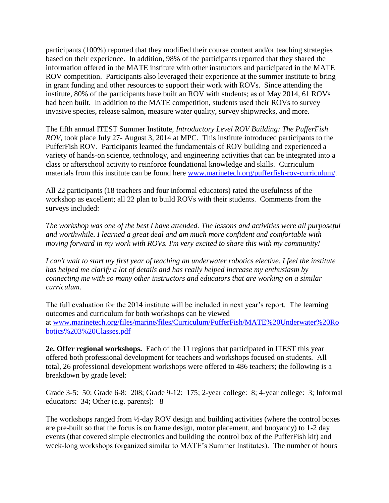participants (100%) reported that they modified their course content and/or teaching strategies based on their experience. In addition, 98% of the participants reported that they shared the information offered in the MATE institute with other instructors and participated in the MATE ROV competition. Participants also leveraged their experience at the summer institute to bring in grant funding and other resources to support their work with ROVs. Since attending the institute, 80% of the participants have built an ROV with students; as of May 2014, 61 ROVs had been built. In addition to the MATE competition, students used their ROVs to survey invasive species, release salmon, measure water quality, survey shipwrecks, and more.

The fifth annual ITEST Summer Institute, *Introductory Level ROV Building: The PufferFish ROV*, took place July 27- August 3, 2014 at MPC. This institute introduced participants to the PufferFish ROV. Participants learned the fundamentals of ROV building and experienced a variety of hands-on science, technology, and engineering activities that can be integrated into a class or afterschool activity to reinforce foundational knowledge and skills. Curriculum materials from this institute can be found here [www.marinetech.org/pufferfish-rov-curriculum/.](http://www.marinetech.org/pufferfish-rov-curriculum/)

All 22 participants (18 teachers and four informal educators) rated the usefulness of the workshop as excellent; all 22 plan to build ROVs with their students. Comments from the surveys included:

*The workshop was one of the best I have attended. The lessons and activities were all purposeful and worthwhile. I learned a great deal and am much more confident and comfortable with moving forward in my work with ROVs. I'm very excited to share this with my community!*

*I can't wait to start my first year of teaching an underwater robotics elective. I feel the institute has helped me clarify a lot of details and has really helped increase my enthusiasm by connecting me with so many other instructors and educators that are working on a similar curriculum.*

The full evaluation for the 2014 institute will be included in next year's report. The learning outcomes and curriculum for both workshops can be viewed at [www.marinetech.org/files/marine/files/Curriculum/PufferFish/MATE%20Underwater%20Ro](http://www.marinetech.org/files/marine/files/Curriculum/PufferFish/MATE%20Underwater%20Robotics%203%20Classes.pdf) [botics%203%20Classes.pdf](http://www.marinetech.org/files/marine/files/Curriculum/PufferFish/MATE%20Underwater%20Robotics%203%20Classes.pdf)

**2e. Offer regional workshops.** Each of the 11 regions that participated in ITEST this year offered both professional development for teachers and workshops focused on students. All total, 26 professional development workshops were offered to 486 teachers; the following is a breakdown by grade level:

Grade 3-5: 50; Grade 6-8: 208; Grade 9-12: 175; 2-year college: 8; 4-year college: 3; Informal educators: 34; Other (e.g. parents): 8

The workshops ranged from ½-day ROV design and building activities (where the control boxes are pre-built so that the focus is on frame design, motor placement, and buoyancy) to 1-2 day events (that covered simple electronics and building the control box of the PufferFish kit) and week-long workshops (organized similar to MATE's Summer Institutes). The number of hours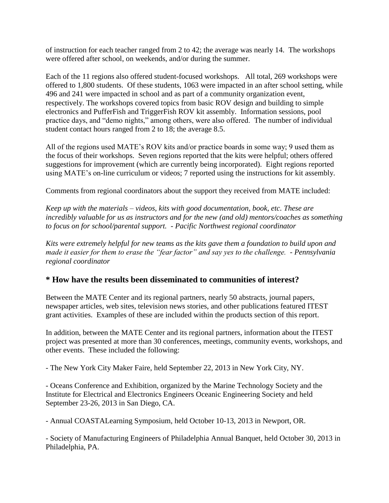of instruction for each teacher ranged from 2 to 42; the average was nearly 14. The workshops were offered after school, on weekends, and/or during the summer.

Each of the 11 regions also offered student-focused workshops. All total, 269 workshops were offered to 1,800 students. Of these students, 1063 were impacted in an after school setting, while 496 and 241 were impacted in school and as part of a community organization event, respectively. The workshops covered topics from basic ROV design and building to simple electronics and PufferFish and TriggerFish ROV kit assembly. Information sessions, pool practice days, and "demo nights," among others, were also offered. The number of individual student contact hours ranged from 2 to 18; the average 8.5.

All of the regions used MATE's ROV kits and/or practice boards in some way; 9 used them as the focus of their workshops. Seven regions reported that the kits were helpful; others offered suggestions for improvement (which are currently being incorporated). Eight regions reported using MATE's on-line curriculum or videos; 7 reported using the instructions for kit assembly.

Comments from regional coordinators about the support they received from MATE included:

*Keep up with the materials – videos, kits with good documentation, book, etc. These are incredibly valuable for us as instructors and for the new (and old) mentors/coaches as something to focus on for school/parental support. - Pacific Northwest regional coordinator*

*Kits were extremely helpful for new teams as the kits gave them a foundation to build upon and made it easier for them to erase the "fear factor" and say yes to the challenge. - Pennsylvania regional coordinator*

# **\* How have the results been disseminated to communities of interest?**

Between the MATE Center and its regional partners, nearly 50 abstracts, journal papers, newspaper articles, web sites, television news stories, and other publications featured ITEST grant activities. Examples of these are included within the products section of this report.

In addition, between the MATE Center and its regional partners, information about the ITEST project was presented at more than 30 conferences, meetings, community events, workshops, and other events. These included the following:

- The New York City Maker Faire, held September 22, 2013 in New York City, NY.

- Oceans Conference and Exhibition, organized by the Marine Technology Society and the Institute for Electrical and Electronics Engineers Oceanic Engineering Society and held September 23-26, 2013 in San Diego, CA.

- Annual COASTALearning Symposium, held October 10-13, 2013 in Newport, OR.

- Society of Manufacturing Engineers of Philadelphia Annual Banquet, held October 30, 2013 in Philadelphia, PA.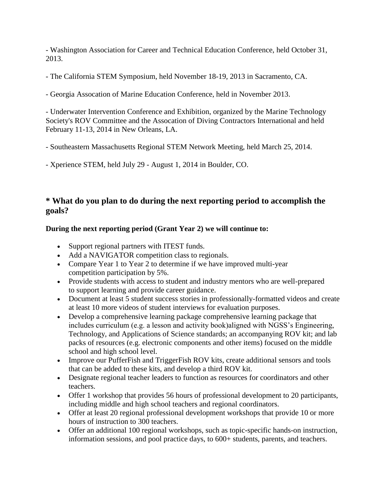- Washington Association for Career and Technical Education Conference, held October 31, 2013.

- The California STEM Symposium, held November 18-19, 2013 in Sacramento, CA.

- Georgia Assocation of Marine Education Conference, held in November 2013.

- Underwater Intervention Conference and Exhibition, organized by the Marine Technology Society's ROV Committee and the Assocation of Diving Contractors International and held February 11-13, 2014 in New Orleans, LA.

- Southeastern Massachusetts Regional STEM Network Meeting, held March 25, 2014.

- Xperience STEM, held July 29 - August 1, 2014 in Boulder, CO.

# **\* What do you plan to do during the next reporting period to accomplish the goals?**

### **During the next reporting period (Grant Year 2) we will continue to:**

- Support regional partners with ITEST funds.
- Add a NAVIGATOR competition class to regionals.
- Compare Year 1 to Year 2 to determine if we have improved multi-year competition participation by 5%.
- Provide students with access to student and industry mentors who are well-prepared to support learning and provide career guidance.
- Document at least 5 student success stories in professionally-formatted videos and create at least 10 more videos of student interviews for evaluation purposes.
- Develop a comprehensive learning package comprehensive learning package that includes curriculum (e.g. a lesson and activity book)aligned with NGSS's Engineering, Technology, and Applications of Science standards; an accompanying ROV kit; and lab packs of resources (e.g. electronic components and other items) focused on the middle school and high school level.
- Improve our PufferFish and TriggerFish ROV kits, create additional sensors and tools that can be added to these kits, and develop a third ROV kit.
- Designate regional teacher leaders to function as resources for coordinators and other teachers.
- Offer 1 workshop that provides 56 hours of professional development to 20 participants, including middle and high school teachers and regional coordinators.
- Offer at least 20 regional professional development workshops that provide 10 or more hours of instruction to 300 teachers.
- Offer an additional 100 regional workshops, such as topic-specific hands-on instruction, information sessions, and pool practice days, to 600+ students, parents, and teachers.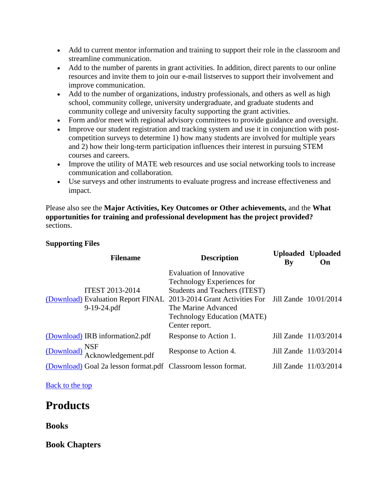- Add to current mentor information and training to support their role in the classroom and streamline communication.
- Add to the number of parents in grant activities. In addition, direct parents to our online resources and invite them to join our e-mail listserves to support their involvement and improve communication.
- Add to the number of organizations, industry professionals, and others as well as high school, community college, university undergraduate, and graduate students and community college and university faculty supporting the grant activities.
- Form and/or meet with regional advisory committees to provide guidance and oversight.
- Improve our student registration and tracking system and use it in conjunction with postcompetition surveys to determine 1) how many students are involved for multiple years and 2) how their long-term participation influences their interest in pursuing STEM courses and careers.
- Improve the utility of MATE web resources and use social networking tools to increase communication and collaboration.
- Use surveys and other instruments to evaluate progress and increase effectiveness and impact.

Please also see the **Major Activities, Key Outcomes or Other achievements,** and the **What opportunities for training and professional development has the project provided?**  sections.

#### **Supporting Files**

|                                      | <b>Filename</b>                                                             | <b>Description</b>                                                                                                                                                                                                                           | By | <b>Uploaded Uploaded</b><br>On |
|--------------------------------------|-----------------------------------------------------------------------------|----------------------------------------------------------------------------------------------------------------------------------------------------------------------------------------------------------------------------------------------|----|--------------------------------|
|                                      | <b>ITEST 2013-2014</b><br>(Download) Evaluation Report FINAL<br>9-19-24.pdf | <b>Evaluation of Innovative</b><br>Technology Experiences for<br><b>Students and Teachers (ITEST)</b><br>2013-2014 Grant Activities For Jill Zande 10/01/2014<br>The Marine Advanced<br><b>Technology Education (MATE)</b><br>Center report. |    |                                |
|                                      | (Download) IRB information2.pdf                                             | Response to Action 1.                                                                                                                                                                                                                        |    | Jill Zande 11/03/2014          |
| $\frac{\text{(Download)}}{\text{A}}$ | Acknowledgement.pdf                                                         | Response to Action 4.                                                                                                                                                                                                                        |    | Jill Zande 11/03/2014          |
|                                      | (Download) Goal 2a lesson format.pdf Classroom lesson format.               |                                                                                                                                                                                                                                              |    | Jill Zande 11/03/2014          |

[Back to the top](https://reporting.research.gov/rppr-web/rppr?execution=e1s16#top)

# **Products**

**Books**

**Book Chapters**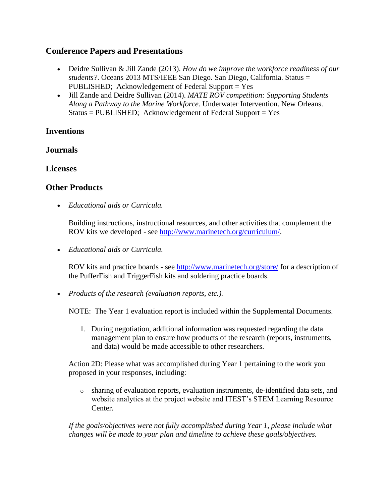### **Conference Papers and Presentations**

- Deidre Sullivan & Jill Zande (2013). *How do we improve the workforce readiness of our students?*. Oceans 2013 MTS/IEEE San Diego. San Diego, California. Status = PUBLISHED; Acknowledgement of Federal Support = Yes
- Jill Zande and Deidre Sullivan (2014). *MATE ROV competition: Supporting Students Along a Pathway to the Marine Workforce*. Underwater Intervention. New Orleans.  $Status = PUBLISHED; Acknowledgement of Federal Support = Yes$

# **Inventions**

## **Journals**

## **Licenses**

# **Other Products**

*Educational aids or Curricula.* 

Building instructions, instructional resources, and other activities that complement the ROV kits we developed - see [http://www.marinetech.org/curriculum/.](http://www.marinetech.org/curriculum/)

*Educational aids or Curricula.* 

ROV kits and practice boards - see<http://www.marinetech.org/store/> for a description of the PufferFish and TriggerFish kits and soldering practice boards.

*Products of the research (evaluation reports, etc.).* 

NOTE: The Year 1 evaluation report is included within the Supplemental Documents.

1. During negotiation, additional information was requested regarding the data management plan to ensure how products of the research (reports, instruments, and data) would be made accessible to other researchers.

Action 2D: Please what was accomplished during Year 1 pertaining to the work you proposed in your responses, including:

o sharing of evaluation reports, evaluation instruments, de-identified data sets, and website analytics at the project website and ITEST's STEM Learning Resource Center.

*If the goals/objectives were not fully accomplished during Year 1, please include what changes will be made to your plan and timeline to achieve these goals/objectives.*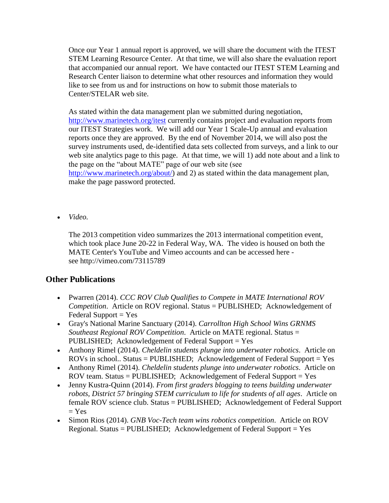Once our Year 1 annual report is approved, we will share the document with the ITEST STEM Learning Resource Center. At that time, we will also share the evaluation report that accompanied our annual report. We have contacted our ITEST STEM Learning and Research Center liaison to determine what other resources and information they would like to see from us and for instructions on how to submit those materials to Center/STELAR web site.

As stated within the data management plan we submitted during negotiation, <http://www.marinetech.org/itest> currently contains project and evaluation reports from our ITEST Strategies work. We will add our Year 1 Scale-Up annual and evaluation reports once they are approved. By the end of November 2014, we will also post the survey instruments used, de-identified data sets collected from surveys, and a link to our web site analytics page to this page. At that time, we will 1) add note about and a link to the page on the "about MATE" page of our web site (see [http://www.marinetech.org/about/\)](http://www.marinetech.org/about/) and 2) as stated within the data management plan, make the page password protected.

*Video.* 

The 2013 competition video summarizes the 2013 interrnational competition event, which took place June 20-22 in Federal Way, WA. The video is housed on both the MATE Center's YouTube and Vimeo accounts and can be accessed here see http://vimeo.com/73115789

# **Other Publications**

- Pwarren (2014). *CCC ROV Club Qualifies to Compete in MATE International ROV Competition*. Article on ROV regional. Status = PUBLISHED; Acknowledgement of Federal Support  $=$  Yes
- Gray's National Marine Sanctuary (2014). *Carrollton High School Wins GRNMS Southeast Regional ROV Competition*. Article on MATE regional. Status = PUBLISHED; Acknowledgement of Federal Support = Yes
- Anthony Rimel (2014). *Cheldelin students plunge into underwater robotics*. Article on ROVs in school.. Status = PUBLISHED; Acknowledgement of Federal Support = Yes
- Anthony Rimel (2014). *Cheldelin students plunge into underwater robotics*. Article on ROV team. Status = PUBLISHED; Acknowledgement of Federal Support = Yes
- Jenny Kustra-Quinn (2014). *From first graders blogging to teens building underwater robots, District 57 bringing STEM curriculum to life for students of all ages*. Article on female ROV science club. Status = PUBLISHED; Acknowledgement of Federal Support  $=$  Yes
- Simon Rios (2014). *GNB Voc-Tech team wins robotics competition*. Article on ROV Regional. Status = PUBLISHED; Acknowledgement of Federal Support = Yes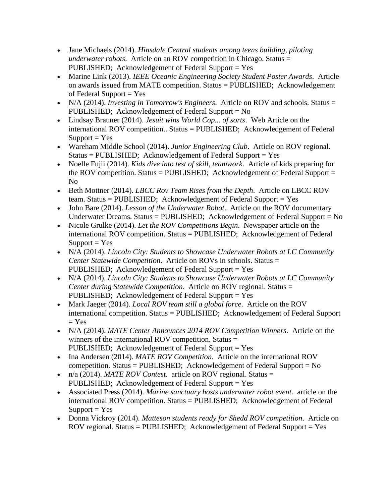- Jane Michaels (2014). *Hinsdale Central students among teens building, piloting underwater robots*. Article on an ROV competition in Chicago. Status = PUBLISHED; Acknowledgement of Federal Support = Yes
- Marine Link (2013). *IEEE Oceanic Engineering Society Student Poster Awards*. Article on awards issued from MATE competition. Status = PUBLISHED; Acknowledgement of Federal Support  $=$  Yes
- N/A (2014). *Investing in Tomorrow's Engineers*. Article on ROV and schools. Status = PUBLISHED; Acknowledgement of Federal Support = No
- Lindsay Brauner (2014). *Jesuit wins World Cop... of sorts*. Web Article on the international ROV competition.. Status = PUBLISHED; Acknowledgement of Federal  $Support = Yes$
- Wareham Middle School (2014). *Junior Engineering Club*. Article on ROV regional.  $Status = PUBLISHED; Acknowledgement of Federal Support = Yes$
- Noelle Fujii (2014). *Kids dive into test of skill, teamwork*. Article of kids preparing for the ROV competition. Status = PUBLISHED; Acknowledgement of Federal Support = No
- Beth Mottner (2014). *LBCC Rov Team Rises from the Depth*. Article on LBCC ROV team. Status = PUBLISHED; Acknowledgement of Federal Support = Yes
- John Bare (2014). *Lesson of the Underwater Robot*. Article on the ROV documentary Underwater Dreams. Status = PUBLISHED; Acknowledgement of Federal Support = No
- Nicole Grulke (2014). *Let the ROV Competitions Begin*. Newspaper article on the international ROV competition. Status = PUBLISHED; Acknowledgement of Federal  $Support = Yes$
- N/A (2014). *Lincoln City: Students to Showcase Underwater Robots at LC Community Center Statewide Competition*. Article on ROVs in schools. Status = PUBLISHED; Acknowledgement of Federal Support = Yes
- N/A (2014). *Lincoln City: Students to Showcase Underwater Robots at LC Community Center during Statewide Competition*. Article on ROV regional. Status = PUBLISHED; Acknowledgement of Federal Support = Yes
- Mark Jaeger (2014). *Local ROV team still a global force*. Article on the ROV international competition. Status = PUBLISHED; Acknowledgement of Federal Support  $= Yes$
- N/A (2014). *MATE Center Announces 2014 ROV Competition Winners*. Article on the winners of the international ROV competition. Status = PUBLISHED; Acknowledgement of Federal Support = Yes
- Ina Andersen (2014). *MATE ROV Competition*. Article on the international ROV comepetition. Status = PUBLISHED; Acknowledgement of Federal Support =  $No$
- n/a (2014). *MATE ROV Contest*. article on ROV regional. Status = PUBLISHED; Acknowledgement of Federal Support = Yes
- Associated Press (2014). *Marine sanctuary hosts underwater robot event*. article on the international ROV competition. Status = PUBLISHED; Acknowledgement of Federal  $Support = Yes$
- Donna Vickroy (2014). *Matteson students ready for Shedd ROV competition*. Article on ROV regional. Status = PUBLISHED; Acknowledgement of Federal Support = Yes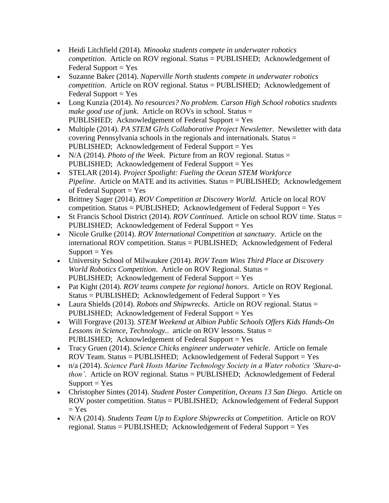- Heidi Litchfield (2014). *Minooka students compete in underwater robotics competition*. Article on ROV regional. Status = PUBLISHED; Acknowledgement of Federal Support  $=$  Yes
- Suzanne Baker (2014). *Naperville North students compete in underwater robotics competition*. Article on ROV regional. Status = PUBLISHED; Acknowledgement of  $Federal Support = Yes$
- Long Kunzia (2014). *No resources? No problem. Carson High School robotics students make good use of junk*. Article on ROVs in school. Status = PUBLISHED; Acknowledgement of Federal Support = Yes
- Multiple (2014). *PA STEM GIrls Collaborative Project Newsletter*. Newsletter with data covering Pennsylvania schools in the regionals and internationals. Status = PUBLISHED; Acknowledgement of Federal Support = Yes
- N/A (2014). *Photo of the Week*. Picture from an ROV regional. Status = PUBLISHED; Acknowledgement of Federal Support = Yes
- STELAR (2014). *Project Spotlight: Fueling the Ocean STEM Workforce Pipeline.* Article on MATE and its activities. Status = PUBLISHED; Acknowledgement of Federal Support  $=$  Yes
- Brittney Sager (2014). *ROV Competition at Discovery World*. Article on local ROV competition. Status = PUBLISHED; Acknowledgement of Federal Support = Yes
- St Francis School District (2014). *ROV Continued*. Article on school ROV time. Status = PUBLISHED; Acknowledgement of Federal Support = Yes
- Nicole Grulke (2014). *ROV International Competition at sanctuary*. Article on the international ROV competition. Status = PUBLISHED; Acknowledgement of Federal  $Support = Yes$
- University School of Milwaukee (2014). *ROV Team Wins Third Place at Discovery World Robotics Competition*. Article on ROV Regional. Status = PUBLISHED; Acknowledgement of Federal Support = Yes
- Pat Kight (2014). *ROV teams compete for regional honors*. Article on ROV Regional.  $Status = PUBLISHED; Acknowledgement of Federal Support = Yes$
- Laura Shields (2014). *Robots and Shipwrecks*. Article on ROV regional. Status = PUBLISHED; Acknowledgement of Federal Support = Yes
- Will Forgrave (2013). *STEM Weekend at Albion Public Schools Offers Kids Hands-On Lessons in Science, Technology.*. article on ROV lessons. Status = PUBLISHED; Acknowledgement of Federal Support = Yes
- Tracy Gruen (2014). *Science Chicks engineer underwater vehicle*. Article on female ROV Team. Status = PUBLISHED; Acknowledgement of Federal Support = Yes
- n/a (2014). *Science Park Hosts Marine Technology Society in a Water robotics 'Share-athon'.* Article on ROV regional. Status = PUBLISHED; Acknowledgement of Federal  $Support = Yes$
- Christopher Sintes (2014). *Student Poster Competition, Oceans 13 San Diego*. Article on ROV poster competition. Status = PUBLISHED; Acknowledgement of Federal Support  $=$  Yes
- N/A (2014). *Students Team Up to Explore Shipwrecks at Competition*. Article on ROV regional. Status = PUBLISHED; Acknowledgement of Federal Support = Yes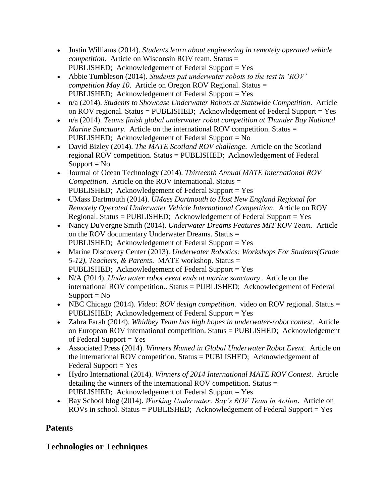- Justin Williams (2014). *Students learn about engineering in remotely operated vehicle competition*. Article on Wisconsin ROV team. Status = PUBLISHED; Acknowledgement of Federal Support = Yes
- Abbie Tumbleson (2014). *Students put underwater robots to the test in 'ROV' competition May 10*. Article on Oregon ROV Regional. Status = PUBLISHED; Acknowledgement of Federal Support = Yes
- n/a (2014). *Students to Showcase Underwater Robots at Statewide Competition*. Article on ROV regional. Status = PUBLISHED; Acknowledgement of Federal Support = Yes
- n/a (2014). *Teams finish global underwater robot competition at Thunder Bay National Marine Sanctuary.* Article on the international ROV competition. Status = PUBLISHED; Acknowledgement of Federal Support = No
- David Bizley (2014). *The MATE Scotland ROV challenge*. Article on the Scotland regional ROV competition. Status = PUBLISHED; Acknowledgement of Federal  $Support = No$
- Journal of Ocean Technology (2014). *Thirteenth Annual MATE International ROV Competition*. Article on the ROV international. Status = PUBLISHED; Acknowledgement of Federal Support = Yes
- UMass Dartmouth (2014). *UMass Dartmouth to Host New England Regional for Remotely Operated Underwater Vehicle International Competition*. Article on ROV Regional. Status = PUBLISHED; Acknowledgement of Federal Support = Yes
- Nancy DuVergne Smith (2014). *Underwater Dreams Features MIT ROV Team*. Article on the ROV documentary Underwater Dreams. Status = PUBLISHED; Acknowledgement of Federal Support = Yes
- Marine Discovery Center (2013). *Underwater Robotics: Workshops For Students(Grade 5-12), Teachers, & Parents*. MATE workshop. Status = PUBLISHED; Acknowledgement of Federal Support = Yes
- N/A (2014). *Underwater robot event ends at marine sanctuary*. Article on the international ROV competition.. Status = PUBLISHED; Acknowledgement of Federal  $Support = No$
- NBC Chicago (2014). *Video: ROV design competition*. video on ROV regional. Status = PUBLISHED; Acknowledgement of Federal Support = Yes
- Zahra Farah (2014). *Whidbey Team has high hopes in underwater-robot contest*. Article on European ROV international competition. Status = PUBLISHED; Acknowledgement of Federal Support  $=$  Yes
- Associated Press (2014). *Winners Named in Global Underwater Robot Event*. Article on the international ROV competition. Status = PUBLISHED; Acknowledgement of  $Federal Support = Yes$
- Hydro International (2014). *Winners of 2014 International MATE ROV Contest*. Article detailing the winners of the international ROV competition. Status = PUBLISHED; Acknowledgement of Federal Support = Yes
- Bay School blog (2014). *Working Underwater: Bay's ROV Team in Action*. Article on ROVs in school. Status = PUBLISHED; Acknowledgement of Federal Support = Yes

# **Patents**

# **Technologies or Techniques**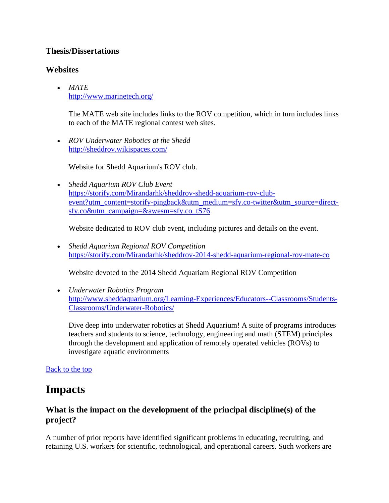### **Thesis/Dissertations**

## **Websites**

 *MATE* <http://www.marinetech.org/>

> The MATE web site includes links to the ROV competition, which in turn includes links to each of the MATE regional contest web sites.

 *ROV Underwater Robotics at the Shedd* <http://sheddrov.wikispaces.com/>

Website for Shedd Aquarium's ROV club.

 *Shedd Aquarium ROV Club Event* [https://storify.com/Mirandarhk/sheddrov-shedd-aquarium-rov-club](https://storify.com/Mirandarhk/sheddrov-shedd-aquarium-rov-club-event?utm_content=storify-pingback&utm_medium=sfy.co-twitter&utm_source=direct-sfy.co&utm_campaign=&awesm=sfy.co_tS76)[event?utm\\_content=storify-pingback&utm\\_medium=sfy.co-twitter&utm\\_source=direct](https://storify.com/Mirandarhk/sheddrov-shedd-aquarium-rov-club-event?utm_content=storify-pingback&utm_medium=sfy.co-twitter&utm_source=direct-sfy.co&utm_campaign=&awesm=sfy.co_tS76)[sfy.co&utm\\_campaign=&awesm=sfy.co\\_tS76](https://storify.com/Mirandarhk/sheddrov-shedd-aquarium-rov-club-event?utm_content=storify-pingback&utm_medium=sfy.co-twitter&utm_source=direct-sfy.co&utm_campaign=&awesm=sfy.co_tS76)

Website dedicated to ROV club event, including pictures and details on the event.

 *Shedd Aquarium Regional ROV Competition* <https://storify.com/Mirandarhk/sheddrov-2014-shedd-aquarium-regional-rov-mate-co>

Website devoted to the 2014 Shedd Aquariam Regional ROV Competition

 *Underwater Robotics Program* [http://www.sheddaquarium.org/Learning-Experiences/Educators--Classrooms/Students-](http://www.sheddaquarium.org/Learning-Experiences/Educators--Classrooms/Students-Classrooms/Underwater-Robotics/)[Classrooms/Underwater-Robotics/](http://www.sheddaquarium.org/Learning-Experiences/Educators--Classrooms/Students-Classrooms/Underwater-Robotics/)

Dive deep into underwater robotics at Shedd Aquarium! A suite of programs introduces teachers and students to science, technology, engineering and math (STEM) principles through the development and application of remotely operated vehicles (ROVs) to investigate aquatic environments

### [Back to the top](https://reporting.research.gov/rppr-web/rppr?execution=e1s16#top)

# **Impacts**

# **What is the impact on the development of the principal discipline(s) of the project?**

A number of prior reports have identified significant problems in educating, recruiting, and retaining U.S. workers for scientific, technological, and operational careers. Such workers are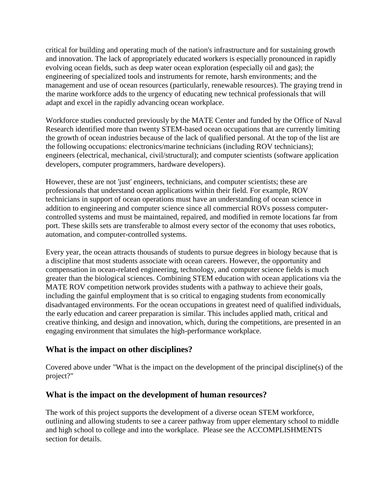critical for building and operating much of the nation's infrastructure and for sustaining growth and innovation. The lack of appropriately educated workers is especially pronounced in rapidly evolving ocean fields, such as deep water ocean exploration (especially oil and gas); the engineering of specialized tools and instruments for remote, harsh environments; and the management and use of ocean resources (particularly, renewable resources). The graying trend in the marine workforce adds to the urgency of educating new technical professionals that will adapt and excel in the rapidly advancing ocean workplace.

Workforce studies conducted previously by the MATE Center and funded by the Office of Naval Research identified more than twenty STEM-based ocean occupations that are currently limiting the growth of ocean industries because of the lack of qualified personal. At the top of the list are the following occupations: electronics/marine technicians (including ROV technicians); engineers (electrical, mechanical, civil/structural); and computer scientists (software application developers, computer programmers, hardware developers).

However, these are not 'just' engineers, technicians, and computer scientists; these are professionals that understand ocean applications within their field. For example, ROV technicians in support of ocean operations must have an understanding of ocean science in addition to engineering and computer science since all commercial ROVs possess computercontrolled systems and must be maintained, repaired, and modified in remote locations far from port. These skills sets are transferable to almost every sector of the economy that uses robotics, automation, and computer-controlled systems.

Every year, the ocean attracts thousands of students to pursue degrees in biology because that is a discipline that most students associate with ocean careers. However, the opportunity and compensation in ocean-related engineering, technology, and computer science fields is much greater than the biological sciences. Combining STEM education with ocean applications via the MATE ROV competition network provides students with a pathway to achieve their goals, including the gainful employment that is so critical to engaging students from economically disadvantaged environments. For the ocean occupations in greatest need of qualified individuals, the early education and career preparation is similar. This includes applied math, critical and creative thinking, and design and innovation, which, during the competitions, are presented in an engaging environment that simulates the high-performance workplace.

### **What is the impact on other disciplines?**

Covered above under "What is the impact on the development of the principal discipline(s) of the project?"

### **What is the impact on the development of human resources?**

The work of this project supports the development of a diverse ocean STEM workforce, outlining and allowing students to see a career pathway from upper elementary school to middle and high school to college and into the workplace. Please see the ACCOMPLISHMENTS section for details.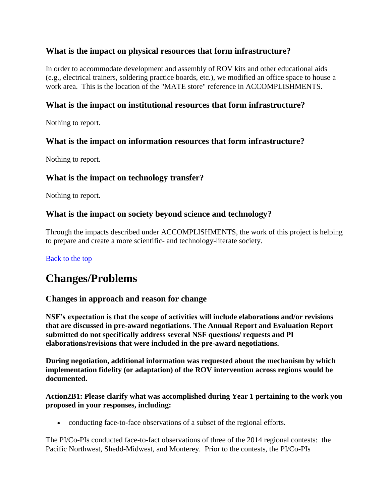## **What is the impact on physical resources that form infrastructure?**

In order to accommodate development and assembly of ROV kits and other educational aids (e.g., electrical trainers, soldering practice boards, etc.), we modified an office space to house a work area. This is the location of the "MATE store" reference in ACCOMPLISHMENTS.

## **What is the impact on institutional resources that form infrastructure?**

Nothing to report.

## **What is the impact on information resources that form infrastructure?**

Nothing to report.

### **What is the impact on technology transfer?**

Nothing to report.

## **What is the impact on society beyond science and technology?**

Through the impacts described under ACCOMPLISHMENTS, the work of this project is helping to prepare and create a more scientific- and technology-literate society.

### [Back to the top](https://reporting.research.gov/rppr-web/rppr?execution=e1s16#top)

# **Changes/Problems**

### **Changes in approach and reason for change**

**NSF's expectation is that the scope of activities will include elaborations and/or revisions that are discussed in pre-award negotiations. The Annual Report and Evaluation Report submitted do not specifically address several NSF questions/ requests and PI elaborations/revisions that were included in the pre-award negotiations.**

**During negotiation, additional information was requested about the mechanism by which implementation fidelity (or adaptation) of the ROV intervention across regions would be documented.**

#### **Action2B1: Please clarify what was accomplished during Year 1 pertaining to the work you proposed in your responses, including:**

• conducting face-to-face observations of a subset of the regional efforts.

The PI/Co-PIs conducted face-to-fact observations of three of the 2014 regional contests: the Pacific Northwest, Shedd-Midwest, and Monterey. Prior to the contests, the PI/Co-PIs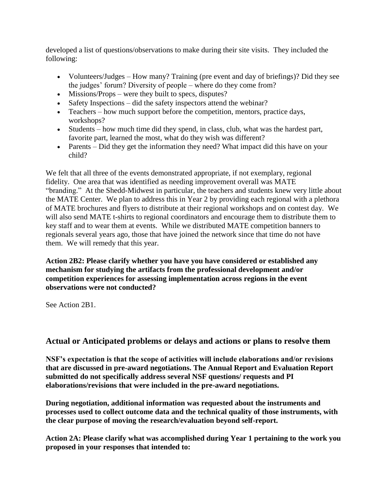developed a list of questions/observations to make during their site visits. They included the following:

- Volunteers/Judges How many? Training (pre event and day of briefings)? Did they see the judges' forum? Diversity of people – where do they come from?
- Missions/Props were they built to specs, disputes?
- Safety Inspections did the safety inspectors attend the webinar?
- Teachers how much support before the competition, mentors, practice days, workshops?
- Students how much time did they spend, in class, club, what was the hardest part, favorite part, learned the most, what do they wish was different?
- Parents Did they get the information they need? What impact did this have on your child?

We felt that all three of the events demonstrated appropriate, if not exemplary, regional fidelity. One area that was identified as needing improvement overall was MATE "branding." At the Shedd-Midwest in particular, the teachers and students knew very little about the MATE Center. We plan to address this in Year 2 by providing each regional with a plethora of MATE brochures and flyers to distribute at their regional workshops and on contest day. We will also send MATE t-shirts to regional coordinators and encourage them to distribute them to key staff and to wear them at events. While we distributed MATE competition banners to regionals several years ago, those that have joined the network since that time do not have them. We will remedy that this year.

**Action 2B2: Please clarify whether you have you have considered or established any mechanism for studying the artifacts from the professional development and/or competition experiences for assessing implementation across regions in the event observations were not conducted?**

See Action 2B1.

### **Actual or Anticipated problems or delays and actions or plans to resolve them**

**NSF's expectation is that the scope of activities will include elaborations and/or revisions that are discussed in pre-award negotiations. The Annual Report and Evaluation Report submitted do not specifically address several NSF questions/ requests and PI elaborations/revisions that were included in the pre-award negotiations.**

**During negotiation, additional information was requested about the instruments and processes used to collect outcome data and the technical quality of those instruments, with the clear purpose of moving the research/evaluation beyond self-report.**

**Action 2A: Please clarify what was accomplished during Year 1 pertaining to the work you proposed in your responses that intended to:**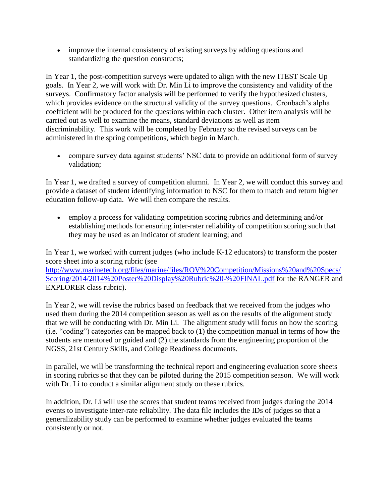improve the internal consistency of existing surveys by adding questions and standardizing the question constructs;

In Year 1, the post-competition surveys were updated to align with the new ITEST Scale Up goals. In Year 2, we will work with Dr. Min Li to improve the consistency and validity of the surveys. Confirmatory factor analysis will be performed to verify the hypothesized clusters, which provides evidence on the structural validity of the survey questions. Cronbach's alpha coefficient will be produced for the questions within each cluster. Other item analysis will be carried out as well to examine the means, standard deviations as well as item discriminability. This work will be completed by February so the revised surveys can be administered in the spring competitions, which begin in March.

 compare survey data against students' NSC data to provide an additional form of survey validation;

In Year 1, we drafted a survey of competition alumni. In Year 2, we will conduct this survey and provide a dataset of student identifying information to NSC for them to match and return higher education follow-up data. We will then compare the results.

 employ a process for validating competition scoring rubrics and determining and/or establishing methods for ensuring inter-rater reliability of competition scoring such that they may be used as an indicator of student learning; and

In Year 1, we worked with current judges (who include K-12 educators) to transform the poster score sheet into a scoring rubric (see [http://www.marinetech.org/files/marine/files/ROV%20Competition/Missions%20and%20Specs/](http://www.marinetech.org/files/marine/files/ROV%20Competition/Missions%20and%20Specs/Scoring/2014/2014%20Poster%20Display%20Rubric%20-%20FINAL.pdf) [Scoring/2014/2014%20Poster%20Display%20Rubric%20-%20FINAL.pdf](http://www.marinetech.org/files/marine/files/ROV%20Competition/Missions%20and%20Specs/Scoring/2014/2014%20Poster%20Display%20Rubric%20-%20FINAL.pdf) for the RANGER and EXPLORER class rubric).

In Year 2, we will revise the rubrics based on feedback that we received from the judges who used them during the 2014 competition season as well as on the results of the alignment study that we will be conducting with Dr. Min Li. The alignment study will focus on how the scoring (i.e. "coding") categories can be mapped back to (1) the competition manual in terms of how the students are mentored or guided and (2) the standards from the engineering proportion of the NGSS, 21st Century Skills, and College Readiness documents.

In parallel, we will be transforming the technical report and engineering evaluation score sheets in scoring rubrics so that they can be piloted during the 2015 competition season. We will work with Dr. Li to conduct a similar alignment study on these rubrics.

In addition, Dr. Li will use the scores that student teams received from judges during the 2014 events to investigate inter-rate reliability. The data file includes the IDs of judges so that a generalizability study can be performed to examine whether judges evaluated the teams consistently or not.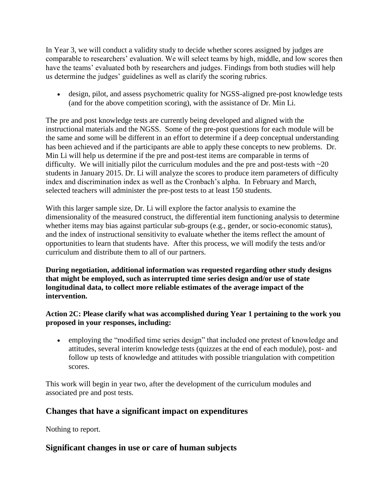In Year 3, we will conduct a validity study to decide whether scores assigned by judges are comparable to researchers' evaluation. We will select teams by high, middle, and low scores then have the teams' evaluated both by researchers and judges. Findings from both studies will help us determine the judges' guidelines as well as clarify the scoring rubrics.

 design, pilot, and assess psychometric quality for NGSS-aligned pre-post knowledge tests (and for the above competition scoring), with the assistance of Dr. Min Li.

The pre and post knowledge tests are currently being developed and aligned with the instructional materials and the NGSS. Some of the pre-post questions for each module will be the same and some will be different in an effort to determine if a deep conceptual understanding has been achieved and if the participants are able to apply these concepts to new problems. Dr. Min Li will help us determine if the pre and post-test items are comparable in terms of difficulty. We will initially pilot the curriculum modules and the pre and post-tests with  $\sim$ 20 students in January 2015. Dr. Li will analyze the scores to produce item parameters of difficulty index and discrimination index as well as the Cronbach's alpha. In February and March, selected teachers will administer the pre-post tests to at least 150 students.

With this larger sample size, Dr. Li will explore the factor analysis to examine the dimensionality of the measured construct, the differential item functioning analysis to determine whether items may bias against particular sub-groups (e.g., gender, or socio-economic status), and the index of instructional sensitivity to evaluate whether the items reflect the amount of opportunities to learn that students have. After this process, we will modify the tests and/or curriculum and distribute them to all of our partners.

**During negotiation, additional information was requested regarding other study designs that might be employed, such as interrupted time series design and/or use of state longitudinal data, to collect more reliable estimates of the average impact of the intervention.**

#### **Action 2C: Please clarify what was accomplished during Year 1 pertaining to the work you proposed in your responses, including:**

 employing the "modified time series design" that included one pretest of knowledge and attitudes, several interim knowledge tests (quizzes at the end of each module), post- and follow up tests of knowledge and attitudes with possible triangulation with competition scores.

This work will begin in year two, after the development of the curriculum modules and associated pre and post tests.

# **Changes that have a significant impact on expenditures**

Nothing to report.

# **Significant changes in use or care of human subjects**